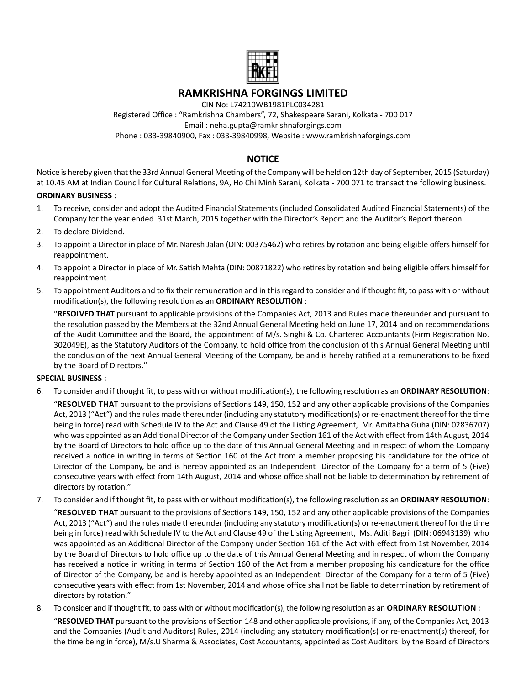

## **RAMKRISHNA FORGINGS LIMITED**

CIN No: L74210WB1981PLC034281

Registered Office : "Ramkrishna Chambers", 72, Shakespeare Sarani, Kolkata - 700 017 Email : neha.gupta@ramkrishnaforgings.com Phone : 033-39840900, Fax : 033-39840998, Website : www.ramkrishnaforgings.com

## **NOTICE**

Notice is hereby given that the 33rd Annual General Meeting of the Company will be held on 12th day of September, 2015 (Saturday) at 10.45 AM at Indian Council for Cultural Relations, 9A, Ho Chi Minh Sarani, Kolkata - 700 071 to transact the following business.

#### **ORDINARY BUSINESS :**

- 1. To receive, consider and adopt the Audited Financial Statements (included Consolidated Audited Financial Statements) of the Company for the year ended 31st March, 2015 together with the Director's Report and the Auditor's Report thereon.
- 2. To declare Dividend.
- 3. To appoint a Director in place of Mr. Naresh Jalan (DIN: 00375462) who retires by rotation and being eligible offers himself for reappointment.
- 4. To appoint a Director in place of Mr. Satish Mehta (DIN: 00871822) who retires by rotation and being eligible offers himself for reappointment
- 5. To appointment Auditors and to fix their remuneration and in this regard to consider and if thought fit, to pass with or without modification(s), the following resolution as an **ORDINARY RESOLUTION** :

 "**RESOLVED THAT** pursuant to applicable provisions of the Companies Act, 2013 and Rules made thereunder and pursuant to the resolution passed by the Members at the 32nd Annual General Meeting held on June 17, 2014 and on recommendations of the Audit Committee and the Board, the appointment of M/s. Singhi & Co. Chartered Accountants (Firm Registration No. 302049E), as the Statutory Auditors of the Company, to hold office from the conclusion of this Annual General Meeting until the conclusion of the next Annual General Meeting of the Company, be and is hereby ratified at a remunerations to be fixed by the Board of Directors."

#### **SPECIAL BUSINESS :**

6. To consider and if thought fit, to pass with or without modification(s), the following resolution as an ORDINARY RESOLUTION:

 "**RESOLVED THAT** pursuant to the provisions of SecƟons 149, 150, 152 and any other applicable provisions of the Companies Act, 2013 ("Act") and the rules made thereunder (including any statutory modification(s) or re-enactment thereof for the time being in force) read with Schedule IV to the Act and Clause 49 of the Listing Agreement, Mr. Amitabha Guha (DIN: 02836707) who was appointed as an Additional Director of the Company under Section 161 of the Act with effect from 14th August, 2014 by the Board of Directors to hold office up to the date of this Annual General Meeting and in respect of whom the Company received a notice in writing in terms of Section 160 of the Act from a member proposing his candidature for the office of Director of the Company, be and is hereby appointed as an Independent Director of the Company for a term of 5 (Five) consecutive years with effect from 14th August, 2014 and whose office shall not be liable to determination by retirement of directors by rotation."

- 7. To consider and if thought fit, to pass with or without modification(s), the following resolution as an ORDINARY RESOLUTION:
	- "**RESOLVED THAT** pursuant to the provisions of SecƟons 149, 150, 152 and any other applicable provisions of the Companies Act, 2013 ("Act") and the rules made thereunder (including any statutory modification(s) or re-enactment thereof for the time being in force) read with Schedule IV to the Act and Clause 49 of the Listing Agreement, Ms. Aditi Bagri (DIN: 06943139) who was appointed as an Additional Director of the Company under Section 161 of the Act with effect from 1st November, 2014 by the Board of Directors to hold office up to the date of this Annual General Meeting and in respect of whom the Company has received a notice in writing in terms of Section 160 of the Act from a member proposing his candidature for the office of Director of the Company, be and is hereby appointed as an Independent Director of the Company for a term of 5 (Five) consecutive years with effect from 1st November, 2014 and whose office shall not be liable to determination by retirement of directors by rotation."
- 8. To consider and if thought fit, to pass with or without modification(s), the following resolution as an **ORDINARY RESOLUTION** : "RESOLVED THAT pursuant to the provisions of Section 148 and other applicable provisions, if any, of the Companies Act, 2013 and the Companies (Audit and Auditors) Rules, 2014 (including any statutory modification(s) or re-enactment(s) thereof, for the time being in force), M/s.U Sharma & Associates, Cost Accountants, appointed as Cost Auditors by the Board of Directors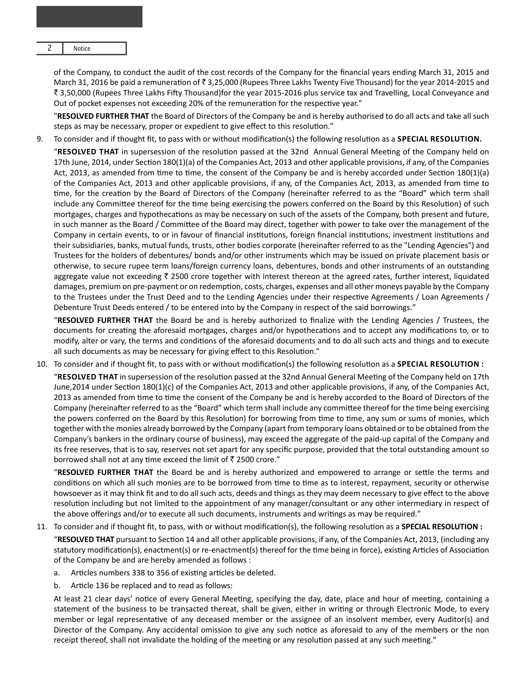2 Notice

of the Company, to conduct the audit of the cost records of the Company for the financial years ending March 31, 2015 and March 31, 2016 be paid a remuneration of  $\bar{\tau}$  3,25,000 (Rupees Three Lakhs Twenty Five Thousand) for the year 2014-2015 and ₹ 3,50,000 (Rupees Three Lakhs Fifty Thousand)for the year 2015-2016 plus service tax and Travelling, Local Conveyance and Out of pocket expenses not exceeding 20% of the remuneration for the respective year."

 "**RESOLVED FURTHER THAT** the Board of Directors of the Company be and is hereby authorised to do all acts and take all such steps as may be necessary, proper or expedient to give effect to this resolution."

9. To consider and if thought fit, to pass with or without modification(s) the following resolution as a **SPECIAL RESOLUTION.** "RESOLVED THAT in supersession of the resolution passed at the 32nd Annual General Meeting of the Company held on 17th June, 2014, under Section 180(1)(a) of the Companies Act, 2013 and other applicable provisions, if any, of the Companies Act, 2013, as amended from time to time, the consent of the Company be and is hereby accorded under Section  $180(1)(a)$ of the Companies Act, 2013 and other applicable provisions, if any, of the Companies Act, 2013, as amended from time to time, for the creation by the Board of Directors of the Company (hereinafter referred to as the "Board" which term shall include any Committee thereof for the time being exercising the powers conferred on the Board by this Resolution) of such mortgages, charges and hypothecations as may be necessary on such of the assets of the Company, both present and future, in such manner as the Board / Committee of the Board may direct, together with power to take over the management of the Company in certain events, to or in favour of financial institutions, foreign financial institutions, investment institutions and their subsidiaries, banks, mutual funds, trusts, other bodies corporate (hereinafter referred to as the "Lending Agencies") and Trustees for the holders of debentures/ bonds and/or other instruments which may be issued on private placement basis or otherwise, to secure rupee term loans/foreign currency loans, debentures, bonds and other instruments of an outstanding aggregate value not exceeding  $\bar{\zeta}$  2500 crore together with interest thereon at the agreed rates, further interest, liquidated damages, premium on pre-payment or on redemption, costs, charges, expenses and all other moneys payable by the Company to the Trustees under the Trust Deed and to the Lending Agencies under their respective Agreements / Loan Agreements / Debenture Trust Deeds entered / to be entered into by the Company in respect of the said borrowings."

 "**RESOLVED FURTHER THAT** the Board be and is hereby authorized to finalize with the Lending Agencies / Trustees, the documents for creating the aforesaid mortgages, charges and/or hypothecations and to accept any modifications to, or to modify, alter or vary, the terms and conditions of the aforesaid documents and to do all such acts and things and to execute all such documents as may be necessary for giving effect to this Resolution."

10. To consider and if thought fit, to pass with or without modification(s) the following resolution as a **SPECIAL RESOLUTION** :

"RESOLVED THAT in supersession of the resolution passed at the 32nd Annual General Meeting of the Company held on 17th June, 2014 under Section 180(1)(c) of the Companies Act, 2013 and other applicable provisions, if any, of the Companies Act, 2013 as amended from time to time the consent of the Company be and is hereby accorded to the Board of Directors of the Company (hereinafter referred to as the "Board" which term shall include any committee thereof for the time being exercising the powers conferred on the Board by this Resolution) for borrowing from time to time, any sum or sums of monies, which together with the monies already borrowed by the Company (apart from temporary loans obtained or to be obtained from the Company's bankers in the ordinary course of business), may exceed the aggregate of the paid-up capital of the Company and its free reserves, that is to say, reserves not set apart for any specific purpose, provided that the total outstanding amount so borrowed shall not at any time exceed the limit of  $\bar{z}$  2500 crore."

 "**RESOLVED FURTHER THAT** the Board be and is hereby authorized and empowered to arrange or seƩle the terms and conditions on which all such monies are to be borrowed from time to time as to interest, repayment, security or otherwise howsoever as it may think fit and to do all such acts, deeds and things as they may deem necessary to give effect to the above resolution including but not limited to the appointment of any manager/consultant or any other intermediary in respect of the above offerings and/or to execute all such documents, instruments and writings as may be required."

- 11. To consider and if thought fit, to pass, with or without modification(s), the following resolution as a **SPECIAL RESOLUTION** : "RESOLVED THAT pursuant to Section 14 and all other applicable provisions, if any, of the Companies Act, 2013, (including any statutory modification(s), enactment(s) or re-enactment(s) thereof for the time being in force), existing Articles of Association of the Company be and are hereby amended as follows :
	- a. Articles numbers 338 to 356 of existing articles be deleted.
	- b. Article 136 be replaced and to read as follows:

At least 21 clear days' notice of every General Meeting, specifying the day, date, place and hour of meeting, containing a statement of the business to be transacted thereat, shall be given, either in writing or through Electronic Mode, to every member or legal representative of any deceased member or the assignee of an insolvent member, every Auditor(s) and Director of the Company. Any accidental omission to give any such notice as aforesaid to any of the members or the non receipt thereof, shall not invalidate the holding of the meeting or any resolution passed at any such meeting."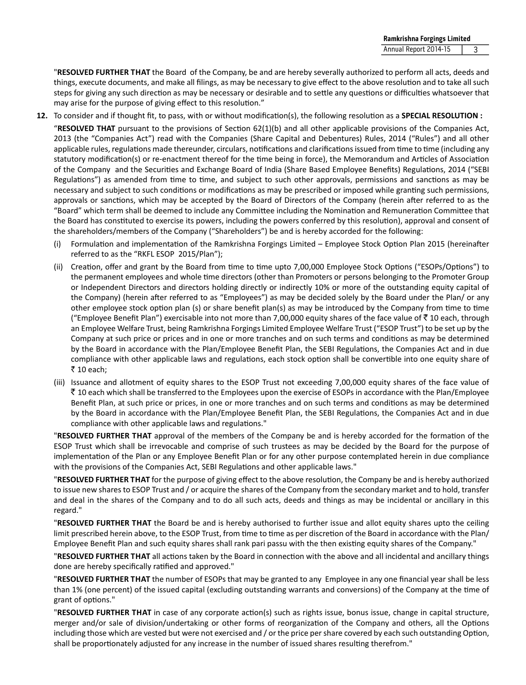"**RESOLVED FURTHER THAT** the Board of the Company, be and are hereby severally authorized to perform all acts, deeds and things, execute documents, and make all filings, as may be necessary to give effect to the above resolution and to take all such steps for giving any such direction as may be necessary or desirable and to settle any questions or difficulties whatsoever that may arise for the purpose of giving effect to this resolution."

**12.** To consider and if thought fit, to pass, with or without modification(s), the following resolution as a **SPECIAL RESOLUTION** :

 "**RESOLVED THAT** pursuant to the provisions of SecƟon 62(1)(b) and all other applicable provisions of the Companies Act, 2013 (the "Companies Act") read with the Companies (Share Capital and Debentures) Rules, 2014 ("Rules") and all other applicable rules, regulations made thereunder, circulars, notifications and clarifications issued from time to time (including any statutory modification(s) or re-enactment thereof for the time being in force), the Memorandum and Articles of Association of the Company and the Securities and Exchange Board of India (Share Based Employee Benefits) Regulations, 2014 ("SEBI Regulations") as amended from time to time, and subject to such other approvals, permissions and sanctions as may be necessary and subject to such conditions or modifications as may be prescribed or imposed while granting such permissions, approvals or sanctions, which may be accepted by the Board of Directors of the Company (herein after referred to as the "Board" which term shall be deemed to include any Committee including the Nomination and Remuneration Committee that the Board has constituted to exercise its powers, including the powers conferred by this resolution), approval and consent of the shareholders/members of the Company ("Shareholders") be and is hereby accorded for the following:

- (i) Formulation and implementation of the Ramkrishna Forgings Limited Employee Stock Option Plan 2015 (hereinafter referred to as the "RKFL ESOP 2015/Plan");
- (ii) Creation, offer and grant by the Board from time to time upto 7,00,000 Employee Stock Options ("ESOPs/Options") to the permanent employees and whole time directors (other than Promoters or persons belonging to the Promoter Group or Independent Directors and directors holding directly or indirectly 10% or more of the outstanding equity capital of the Company) (herein after referred to as "Employees") as may be decided solely by the Board under the Plan/ or any other employee stock option plan (s) or share benefit plan(s) as may be introduced by the Company from time to time ("Employee Benefit Plan") exercisable into not more than 7,00,000 equity shares of the face value of  $\bar{z}$  10 each, through an Employee Welfare Trust, being Ramkrishna Forgings Limited Employee Welfare Trust ("ESOP Trust") to be set up by the Company at such price or prices and in one or more tranches and on such terms and conditions as may be determined by the Board in accordance with the Plan/Employee Benefit Plan, the SEBI Regulations, the Companies Act and in due compliance with other applicable laws and regulations, each stock option shall be convertible into one equity share of  $\bar{\bar{\xi}}$  10 each;
- (iii) Issuance and allotment of equity shares to the ESOP Trust not exceeding 7,00,000 equity shares of the face value of  $\bar{\tau}$  10 each which shall be transferred to the Employees upon the exercise of ESOPs in accordance with the Plan/Employee Benefit Plan, at such price or prices, in one or more tranches and on such terms and conditions as may be determined by the Board in accordance with the Plan/Employee Benefit Plan, the SEBI Regulations, the Companies Act and in due compliance with other applicable laws and regulations."

**"RESOLVED FURTHER THAT** approval of the members of the Company be and is hereby accorded for the formation of the ESOP Trust which shall be irrevocable and comprise of such trustees as may be decided by the Board for the purpose of implementation of the Plan or any Employee Benefit Plan or for any other purpose contemplated herein in due compliance with the provisions of the Companies Act, SEBI Regulations and other applicable laws."

"RESOLVED FURTHER THAT for the purpose of giving effect to the above resolution, the Company be and is hereby authorized to issue new shares to ESOP Trust and / or acquire the shares of the Company from the secondary market and to hold, transfer and deal in the shares of the Company and to do all such acts, deeds and things as may be incidental or ancillary in this regard."

 "**RESOLVED FURTHER THAT** the Board be and is hereby authorised to further issue and allot equity shares upto the ceiling limit prescribed herein above, to the ESOP Trust, from time to time as per discretion of the Board in accordance with the Plan/ Employee Benefit Plan and such equity shares shall rank pari passu with the then existing equity shares of the Company."

 "**RESOLVED FURTHER THAT** all acƟons taken by the Board in connecƟon with the above and all incidental and ancillary things done are hereby specifically ratified and approved."

 "**RESOLVED FURTHER THAT** the number of ESOPs that may be granted to any Employee in any one financial year shall be less than 1% (one percent) of the issued capital (excluding outstanding warrants and conversions) of the Company at the time of grant of options."

 "**RESOLVED FURTHER THAT** in case of any corporate acƟon(s) such as rights issue, bonus issue, change in capital structure, merger and/or sale of division/undertaking or other forms of reorganization of the Company and others, all the Options including those which are vested but were not exercised and / or the price per share covered by each such outstanding Option, shall be proportionately adjusted for any increase in the number of issued shares resulting therefrom."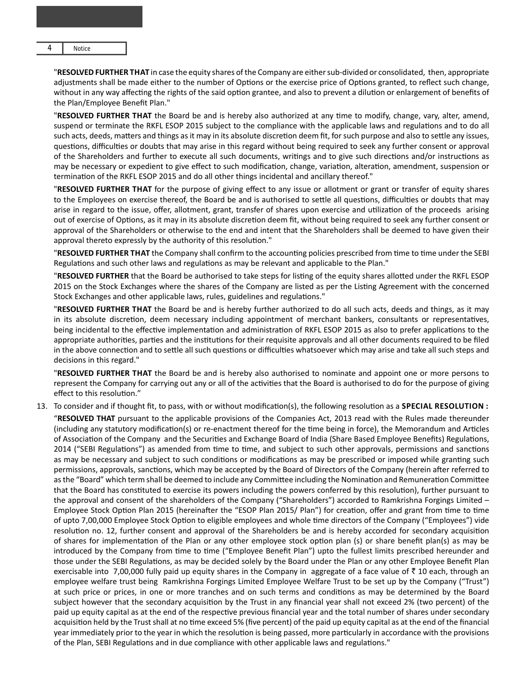**Notice** 

 "**RESOLVED FURTHER THAT** in case the equity shares of the Company are either sub-divided or consolidated, then, appropriate adjustments shall be made either to the number of Options or the exercise price of Options granted, to reflect such change, without in any way affecting the rights of the said option grantee, and also to prevent a dilution or enlargement of benefits of the Plan/Employee Benefit Plan."

"RESOLVED FURTHER THAT the Board be and is hereby also authorized at any time to modify, change, vary, alter, amend, suspend or terminate the RKFL ESOP 2015 subject to the compliance with the applicable laws and regulations and to do all such acts, deeds, matters and things as it may in its absolute discretion deem fit, for such purpose and also to settle any issues, questions, difficulties or doubts that may arise in this regard without being required to seek any further consent or approval of the Shareholders and further to execute all such documents, writings and to give such directions and/or instructions as may be necessary or expedient to give effect to such modification, change, variation, alteration, amendment, suspension or termination of the RKFL ESOP 2015 and do all other things incidental and ancillary thereof."

 "**RESOLVED FURTHER THAT** for the purpose of giving effect to any issue or allotment or grant or transfer of equity shares to the Employees on exercise thereof, the Board be and is authorised to settle all questions, difficulties or doubts that may arise in regard to the issue, offer, allotment, grant, transfer of shares upon exercise and utilization of the proceeds arising out of exercise of Options, as it may in its absolute discretion deem fit, without being required to seek any further consent or approval of the Shareholders or otherwise to the end and intent that the Shareholders shall be deemed to have given their approval thereto expressly by the authority of this resolution."

**"RESOLVED FURTHER THAT** the Company shall confirm to the accounting policies prescribed from time to time under the SEBI Regulations and such other laws and regulations as may be relevant and applicable to the Plan."

"RESOLVED FURTHER that the Board be authorised to take steps for listing of the equity shares allotted under the RKFL ESOP 2015 on the Stock Exchanges where the shares of the Company are listed as per the Listing Agreement with the concerned Stock Exchanges and other applicable laws, rules, guidelines and regulations."

 "**RESOLVED FURTHER THAT** the Board be and is hereby further authorized to do all such acts, deeds and things, as it may in its absolute discretion, deem necessary including appointment of merchant bankers, consultants or representatives, being incidental to the effective implementation and administration of RKFL ESOP 2015 as also to prefer applications to the appropriate authorities, parties and the institutions for their requisite approvals and all other documents required to be filed in the above connection and to settle all such questions or difficulties whatsoever which may arise and take all such steps and decisions in this regard."

 "**RESOLVED FURTHER THAT** the Board be and is hereby also authorised to nominate and appoint one or more persons to represent the Company for carrying out any or all of the activities that the Board is authorised to do for the purpose of giving effect to this resolution."

13. To consider and if thought fit, to pass, with or without modification(s), the following resolution as a **SPECIAL RESOLUTION**:

 "**RESOLVED THAT** pursuant to the applicable provisions of the Companies Act, 2013 read with the Rules made thereunder (including any statutory modification(s) or re-enactment thereof for the time being in force), the Memorandum and Articles of Association of the Company and the Securities and Exchange Board of India (Share Based Employee Benefits) Regulations, 2014 ("SEBI Regulations") as amended from time to time, and subject to such other approvals, permissions and sanctions as may be necessary and subject to such conditions or modifications as may be prescribed or imposed while granting such permissions, approvals, sanctions, which may be accepted by the Board of Directors of the Company (herein after referred to as the "Board" which term shall be deemed to include any Committee including the Nomination and Remuneration Committee that the Board has constituted to exercise its powers including the powers conferred by this resolution), further pursuant to the approval and consent of the shareholders of the Company ("Shareholders") accorded to Ramkrishna Forgings Limited – Employee Stock Option Plan 2015 (hereinafter the "ESOP Plan 2015/ Plan") for creation, offer and grant from time to time of upto 7,00,000 Employee Stock Option to eligible employees and whole time directors of the Company ("Employees") vide resolution no. 12, further consent and approval of the Shareholders be and is hereby accorded for secondary acquisition of shares for implementation of the Plan or any other employee stock option plan (s) or share benefit plan(s) as may be introduced by the Company from time to time ("Employee Benefit Plan") upto the fullest limits prescribed hereunder and those under the SEBI Regulations, as may be decided solely by the Board under the Plan or any other Employee Benefit Plan exercisable into 7,00,000 fully paid up equity shares in the Company in aggregate of a face value of  $\bar{z}$  10 each, through an employee welfare trust being Ramkrishna Forgings Limited Employee Welfare Trust to be set up by the Company ("Trust") at such price or prices, in one or more tranches and on such terms and conditions as may be determined by the Board subject however that the secondary acquisition by the Trust in any financial year shall not exceed 2% (two percent) of the paid up equity capital as at the end of the respective previous financial year and the total number of shares under secondary acquisition held by the Trust shall at no time exceed 5% (five percent) of the paid up equity capital as at the end of the financial year immediately prior to the year in which the resolution is being passed, more particularly in accordance with the provisions of the Plan, SEBI Regulations and in due compliance with other applicable laws and regulations."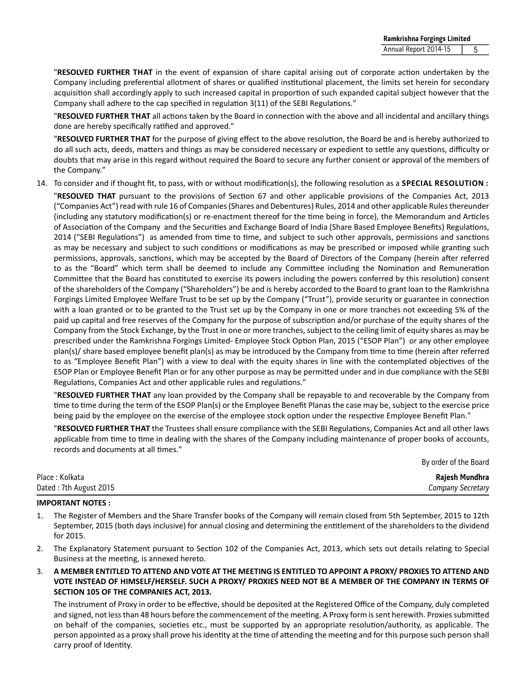"**RESOLVED FURTHER THAT** in the event of expansion of share capital arising out of corporate acƟon undertaken by the Company including preferential allotment of shares or qualified institutional placement, the limits set herein for secondary acquisition shall accordingly apply to such increased capital in proportion of such expanded capital subject however that the Company shall adhere to the cap specified in regulation 3(11) of the SEBI Regulations."

"RESOLVED FURTHER THAT all actions taken by the Board in connection with the above and all incidental and ancillary things done are hereby specifically ratified and approved."

"RESOLVED FURTHER THAT for the purpose of giving effect to the above resolution, the Board be and is hereby authorized to do all such acts, deeds, matters and things as may be considered necessary or expedient to settle any questions, difficulty or doubts that may arise in this regard without required the Board to secure any further consent or approval of the members of the Company."

14. To consider and if thought fit, to pass, with or without modification(s), the following resolution as a **SPECIAL RESOLUTION** :

**"RESOLVED THAT** pursuant to the provisions of Section 67 and other applicable provisions of the Companies Act, 2013 ("Companies Act") read with rule 16 of Companies (Shares and Debentures) Rules, 2014 and other applicable Rules thereunder (including any statutory modification(s) or re-enactment thereof for the time being in force), the Memorandum and Articles of Association of the Company and the Securities and Exchange Board of India (Share Based Employee Benefits) Regulations, 2014 ("SEBI Regulations") as amended from time to time, and subject to such other approvals, permissions and sanctions as may be necessary and subject to such conditions or modifications as may be prescribed or imposed while granting such permissions, approvals, sanctions, which may be accepted by the Board of Directors of the Company (herein after referred to as the "Board" which term shall be deemed to include any Committee including the Nomination and Remuneration Committee that the Board has constituted to exercise its powers including the powers conferred by this resolution) consent of the shareholders of the Company ("Shareholders") be and is hereby accorded to the Board to grant loan to the Ramkrishna Forgings Limited Employee Welfare Trust to be set up by the Company ("Trust"), provide security or guarantee in connection with a loan granted or to be granted to the Trust set up by the Company in one or more tranches not exceeding 5% of the paid up capital and free reserves of the Company for the purpose of subscription and/or purchase of the equity shares of the Company from the Stock Exchange, by the Trust in one or more tranches, subject to the ceiling limit of equity shares as may be prescribed under the Ramkrishna Forgings Limited- Employee Stock Option Plan, 2015 ("ESOP Plan") or any other employee plan(s)/ share based employee benefit plan(s) as may be introduced by the Company from time to time (herein after referred to as "Employee Benefit Plan") with a view to deal with the equity shares in line with the contemplated objectives of the ESOP Plan or Employee Benefit Plan or for any other purpose as may be permiƩed under and in due compliance with the SEBI Regulations, Companies Act and other applicable rules and regulations."

 "**RESOLVED FURTHER THAT** any loan provided by the Company shall be repayable to and recoverable by the Company from time to time during the term of the ESOP Plan(s) or the Employee Benefit Planas the case may be, subject to the exercise price being paid by the employee on the exercise of the employee stock option under the respective Employee Benefit Plan."

"RESOLVED FURTHER THAT the Trustees shall ensure compliance with the SEBI Regulations, Companies Act and all other laws applicable from time to time in dealing with the shares of the Company including maintenance of proper books of accounts, records and documents at all times."

By order of the Board

Place : Kolkata **Rajesh Mundhra** Dated : 7th August 2015 *Company Secretary*

#### **IMPORTANT NOTES :**

- 1. The Register of Members and the Share Transfer books of the Company will remain closed from 5th September, 2015 to 12th September, 2015 (both days inclusive) for annual closing and determining the entitlement of the shareholders to the dividend for 2015.
- 2. The Explanatory Statement pursuant to Section 102 of the Companies Act, 2013, which sets out details relating to Special Business at the meeting, is annexed hereto.
- 3. **A MEMBER ENTITLED TO ATTEND AND VOTE AT THE MEETING IS ENTITLED TO APPOINT A PROXY/ PROXIES TO ATTEND AND VOTE INSTEAD OF HIMSELF/HERSELF. SUCH A PROXY/ PROXIES NEED NOT BE A MEMBER OF THE COMPANY IN TERMS OF SECTION 105 OF THE COMPANIES ACT, 2013.**

The instrument of Proxy in order to be effective, should be deposited at the Registered Office of the Company, duly completed and signed, not less than 48 hours before the commencement of the meeting. A Proxy form is sent herewith. Proxies submitted on behalf of the companies, societies etc., must be supported by an appropriate resolution/authority, as applicable. The person appointed as a proxy shall prove his identity at the time of attending the meeting and for this purpose such person shall carry proof of Identity.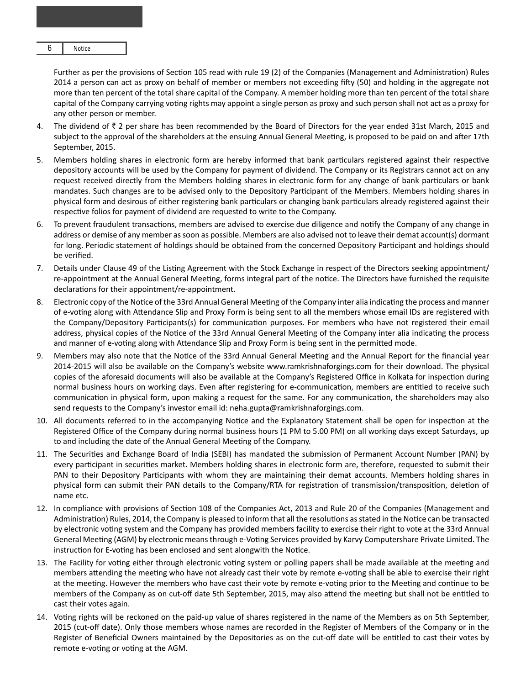$$
6 \qquad \qquad \text{Notice}
$$

Further as per the provisions of Section 105 read with rule 19 (2) of the Companies (Management and Administration) Rules 2014 a person can act as proxy on behalf of member or members not exceeding fifty (50) and holding in the aggregate not more than ten percent of the total share capital of the Company. A member holding more than ten percent of the total share capital of the Company carrying voting rights may appoint a single person as proxy and such person shall not act as a proxy for any other person or member.

- 4. The dividend of  $\bar{\tau}$  2 per share has been recommended by the Board of Directors for the year ended 31st March, 2015 and subject to the approval of the shareholders at the ensuing Annual General Meeting, is proposed to be paid on and after 17th September, 2015.
- 5. Members holding shares in electronic form are hereby informed that bank particulars registered against their respective depository accounts will be used by the Company for payment of dividend. The Company or its Registrars cannot act on any request received directly from the Members holding shares in electronic form for any change of bank particulars or bank mandates. Such changes are to be advised only to the Depository Participant of the Members. Members holding shares in physical form and desirous of either registering bank particulars or changing bank particulars already registered against their respective folios for payment of dividend are requested to write to the Company.
- 6. To prevent fraudulent transactions, members are advised to exercise due diligence and notify the Company of any change in address or demise of any member as soon as possible. Members are also advised not to leave their demat account(s) dormant for long. Periodic statement of holdings should be obtained from the concerned Depository Participant and holdings should be verified.
- 7. Details under Clause 49 of the Listing Agreement with the Stock Exchange in respect of the Directors seeking appointment/ re-appointment at the Annual General Meeting, forms integral part of the notice. The Directors have furnished the requisite declarations for their appointment/re-appointment.
- 8. Electronic copy of the Notice of the 33rd Annual General Meeting of the Company inter alia indicating the process and manner of e-voting along with Attendance Slip and Proxy Form is being sent to all the members whose email IDs are registered with the Company/Depository Participants(s) for communication purposes. For members who have not registered their email address, physical copies of the Notice of the 33rd Annual General Meeting of the Company inter alia indicating the process and manner of e-voting along with Attendance Slip and Proxy Form is being sent in the permitted mode.
- 9. Members may also note that the Notice of the 33rd Annual General Meeting and the Annual Report for the financial year 2014-2015 will also be available on the Company's website www.ramkrishnaforgings.com for their download. The physical copies of the aforesaid documents will also be available at the Company's Registered Office in Kolkata for inspection during normal business hours on working days. Even after registering for e-communication, members are entitled to receive such communication in physical form, upon making a request for the same. For any communication, the shareholders may also send requests to the Company's investor email id: neha.gupta@ramkrishnaforgings.com.
- 10. All documents referred to in the accompanying Notice and the Explanatory Statement shall be open for inspection at the Registered Office of the Company during normal business hours (1 PM to 5.00 PM) on all working days except Saturdays, up to and including the date of the Annual General Meeting of the Company.
- 11. The Securities and Exchange Board of India (SEBI) has mandated the submission of Permanent Account Number (PAN) by every participant in securities market. Members holding shares in electronic form are, therefore, requested to submit their PAN to their Depository Participants with whom they are maintaining their demat accounts. Members holding shares in physical form can submit their PAN details to the Company/RTA for registration of transmission/transposition, deletion of name etc.
- 12. In compliance with provisions of Section 108 of the Companies Act, 2013 and Rule 20 of the Companies (Management and Administration) Rules, 2014, the Company is pleased to inform that all the resolutions as stated in the Notice can be transacted by electronic voting system and the Company has provided members facility to exercise their right to vote at the 33rd Annual General Meeting (AGM) by electronic means through e-Voting Services provided by Karvy Computershare Private Limited. The instruction for E-voting has been enclosed and sent alongwith the Notice.
- 13. The Facility for voting either through electronic voting system or polling papers shall be made available at the meeting and members attending the meeting who have not already cast their vote by remote e-voting shall be able to exercise their right at the meeting. However the members who have cast their vote by remote e-voting prior to the Meeting and continue to be members of the Company as on cut-off date 5th September, 2015, may also attend the meeting but shall not be entitled to cast their votes again.
- 14. Voting rights will be reckoned on the paid-up value of shares registered in the name of the Members as on 5th September, 2015 (cut-off date). Only those members whose names are recorded in the Register of Members of the Company or in the Register of Beneficial Owners maintained by the Depositories as on the cut-off date will be entitled to cast their votes by remote e-voting or voting at the AGM.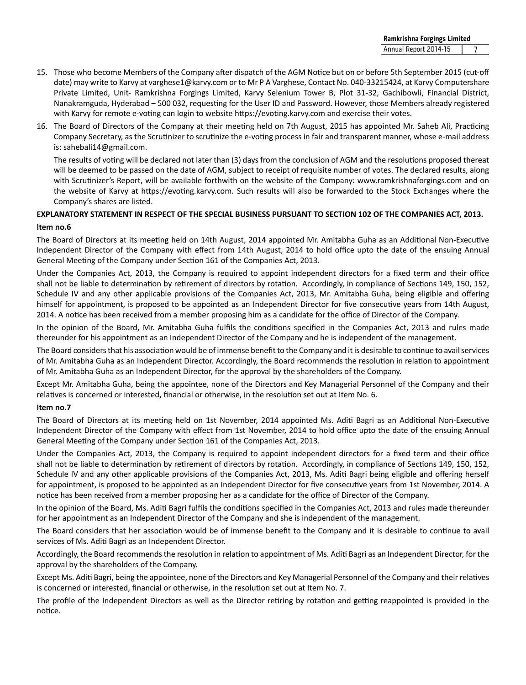- 15. Those who become Members of the Company after dispatch of the AGM Notice but on or before 5th September 2015 (cut-off date) may write to Karvy at varghese1@karvy.com or to Mr P A Varghese, Contact No. 040-33215424, at Karvy Computershare Private Limited, Unit- Ramkrishna Forgings Limited, Karvy Selenium Tower B, Plot 31-32, Gachibowli, Financial District, Nanakramguda, Hyderabad – 500 032, requesting for the User ID and Password. However, those Members already registered with Karvy for remote e-voting can login to website https://evoting.karvy.com and exercise their votes.
- 16. The Board of Directors of the Company at their meeting held on 7th August, 2015 has appointed Mr. Saheb Ali, Practicing Company Secretary, as the Scrutinizer to scrutinize the e-voting process in fair and transparent manner, whose e-mail address is: sahebali14@gmail.com.

The results of voting will be declared not later than (3) days from the conclusion of AGM and the resolutions proposed thereat will be deemed to be passed on the date of AGM, subject to receipt of requisite number of votes. The declared results, along with Scrutinizer's Report, will be available forthwith on the website of the Company: www.ramkrishnaforgings.com and on the website of Karvy at https://evoting.karvy.com. Such results will also be forwarded to the Stock Exchanges where the Company's shares are listed.

#### **EXPLANATORY STATEMENT IN RESPECT OF THE SPECIAL BUSINESS PURSUANT TO SECTION 102 OF THE COMPANIES ACT, 2013.**

## **Item no.6**

The Board of Directors at its meeting held on 14th August, 2014 appointed Mr. Amitabha Guha as an Additional Non-Executive Independent Director of the Company with effect from 14th August, 2014 to hold office upto the date of the ensuing Annual General Meeting of the Company under Section 161 of the Companies Act, 2013.

Under the Companies Act, 2013, the Company is required to appoint independent directors for a fixed term and their office shall not be liable to determination by retirement of directors by rotation. Accordingly, in compliance of Sections 149, 150, 152, Schedule IV and any other applicable provisions of the Companies Act, 2013, Mr. Amitabha Guha, being eligible and offering himself for appointment, is proposed to be appointed as an Independent Director for five consecutive years from 14th August, 2014. A notice has been received from a member proposing him as a candidate for the office of Director of the Company.

In the opinion of the Board, Mr. Amitabha Guha fulfils the conditions specified in the Companies Act, 2013 and rules made thereunder for his appointment as an Independent Director of the Company and he is independent of the management.

The Board considers that his association would be of immense benefit to the Company and it is desirable to continue to avail services of Mr. Amitabha Guha as an Independent Director. Accordingly, the Board recommends the resolution in relation to appointment of Mr. Amitabha Guha as an Independent Director, for the approval by the shareholders of the Company.

Except Mr. Amitabha Guha, being the appointee, none of the Directors and Key Managerial Personnel of the Company and their relatives is concerned or interested, financial or otherwise, in the resolution set out at Item No. 6.

#### **Item no.7**

The Board of Directors at its meeting held on 1st November, 2014 appointed Ms. Aditi Bagri as an Additional Non-Executive Independent Director of the Company with effect from 1st November, 2014 to hold office upto the date of the ensuing Annual General Meeting of the Company under Section 161 of the Companies Act, 2013.

Under the Companies Act, 2013, the Company is required to appoint independent directors for a fixed term and their office shall not be liable to determination by retirement of directors by rotation. Accordingly, in compliance of Sections 149, 150, 152, Schedule IV and any other applicable provisions of the Companies Act, 2013, Ms. Aditi Bagri being eligible and offering herself for appointment, is proposed to be appointed as an Independent Director for five consecutive years from 1st November, 2014. A notice has been received from a member proposing her as a candidate for the office of Director of the Company.

In the opinion of the Board, Ms. Aditi Bagri fulfils the conditions specified in the Companies Act, 2013 and rules made thereunder for her appointment as an Independent Director of the Company and she is independent of the management.

The Board considers that her association would be of immense benefit to the Company and it is desirable to continue to avail services of Ms. Aditi Bagri as an Independent Director.

Accordingly, the Board recommends the resolution in relation to appointment of Ms. Aditi Bagri as an Independent Director, for the approval by the shareholders of the Company.

Except Ms. Aditi Bagri, being the appointee, none of the Directors and Key Managerial Personnel of the Company and their relatives is concerned or interested, financial or otherwise, in the resolution set out at Item No. 7.

The profile of the Independent Directors as well as the Director retiring by rotation and getting reappointed is provided in the notice.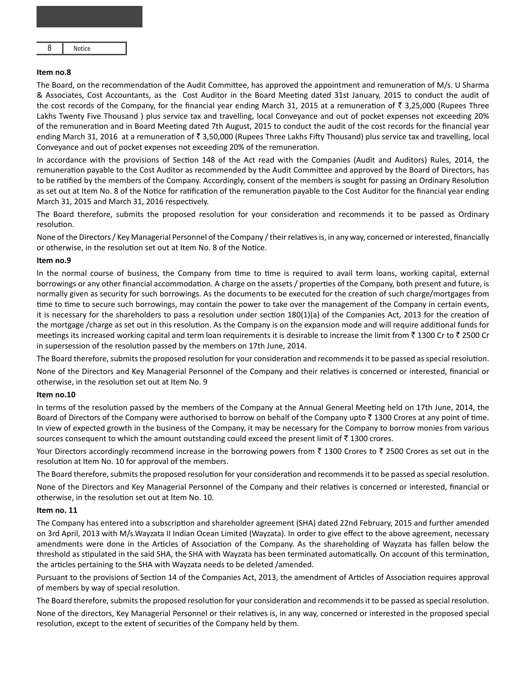| 8 | Notice |
|---|--------|
|---|--------|

#### **Item no.8**

The Board, on the recommendation of the Audit Committee, has approved the appointment and remuneration of M/s. U Sharma & Associates, Cost Accountants, as the Cost Auditor in the Board Meeting dated 31st January, 2015 to conduct the audit of the cost records of the Company, for the financial year ending March 31, 2015 at a remuneration of  $\bar{\tau}$  3,25,000 (Rupees Three Lakhs Twenty Five Thousand ) plus service tax and travelling, local Conveyance and out of pocket expenses not exceeding 20% of the remuneration and in Board Meeting dated 7th August, 2015 to conduct the audit of the cost records for the financial year ending March 31, 2016 at a remuneration of  $\bar{z}$  3,50,000 (Rupees Three Lakhs Fifty Thousand) plus service tax and travelling, local Conveyance and out of pocket expenses not exceeding 20% of the remuneration.

In accordance with the provisions of Section 148 of the Act read with the Companies (Audit and Auditors) Rules, 2014, the remuneration payable to the Cost Auditor as recommended by the Audit Committee and approved by the Board of Directors, has to be ratified by the members of the Company. Accordingly, consent of the members is sought for passing an Ordinary Resolution as set out at Item No. 8 of the Notice for ratification of the remuneration payable to the Cost Auditor for the financial year ending March 31, 2015 and March 31, 2016 respectively.

The Board therefore, submits the proposed resolution for your consideration and recommends it to be passed as Ordinary resolution.

None of the Directors / Key Managerial Personnel of the Company / their relatives is, in any way, concerned or interested, financially or otherwise, in the resolution set out at Item No. 8 of the Notice.

#### **Item no.9**

In the normal course of business, the Company from time to time is required to avail term loans, working capital, external borrowings or any other financial accommodation. A charge on the assets / properties of the Company, both present and future, is normally given as security for such borrowings. As the documents to be executed for the creation of such charge/mortgages from time to time to secure such borrowings, may contain the power to take over the management of the Company in certain events, it is necessary for the shareholders to pass a resolution under section 180(1)(a) of the Companies Act, 2013 for the creation of the mortgage /charge as set out in this resolution. As the Company is on the expansion mode and will require additional funds for meetings its increased working capital and term loan requirements it is desirable to increase the limit from  $\bar{z}$  1300 Cr to  $\bar{z}$  2500 Cr in supersession of the resolution passed by the members on 17th June, 2014.

The Board therefore, submits the proposed resolution for your consideration and recommends it to be passed as special resolution. None of the Directors and Key Managerial Personnel of the Company and their relatives is concerned or interested, financial or otherwise, in the resolution set out at Item No. 9

#### **Item no.10**

In terms of the resolution passed by the members of the Company at the Annual General Meeting held on 17th June, 2014, the Board of Directors of the Company were authorised to borrow on behalf of the Company upto  $\bar{z}$  1300 Crores at any point of time. In view of expected growth in the business of the Company, it may be necessary for the Company to borrow monies from various sources consequent to which the amount outstanding could exceed the present limit of  $\bar{z}$  1300 crores.

Your Directors accordingly recommend increase in the borrowing powers from  $\bar{\tau}$  1300 Crores to  $\bar{\tau}$  2500 Crores as set out in the resolution at Item No. 10 for approval of the members.

The Board therefore, submits the proposed resolution for your consideration and recommends it to be passed as special resolution.

None of the Directors and Key Managerial Personnel of the Company and their relatives is concerned or interested, financial or otherwise, in the resolution set out at Item No. 10.

#### **Item no. 11**

The Company has entered into a subscription and shareholder agreement (SHA) dated 22nd February, 2015 and further amended on 3rd April, 2013 with M/s.Wayzata II Indian Ocean Limited (Wayzata). In order to give effect to the above agreement, necessary amendments were done in the Articles of Association of the Company. As the shareholding of Wayzata has fallen below the threshold as stipulated in the said SHA, the SHA with Wayzata has been terminated automatically. On account of this termination, the articles pertaining to the SHA with Wayzata needs to be deleted /amended.

Pursuant to the provisions of Section 14 of the Companies Act, 2013, the amendment of Articles of Association requires approval of members by way of special resolution.

The Board therefore, submits the proposed resolution for your consideration and recommends it to be passed as special resolution.

None of the directors, Key Managerial Personnel or their relatives is, in any way, concerned or interested in the proposed special resolution, except to the extent of securities of the Company held by them.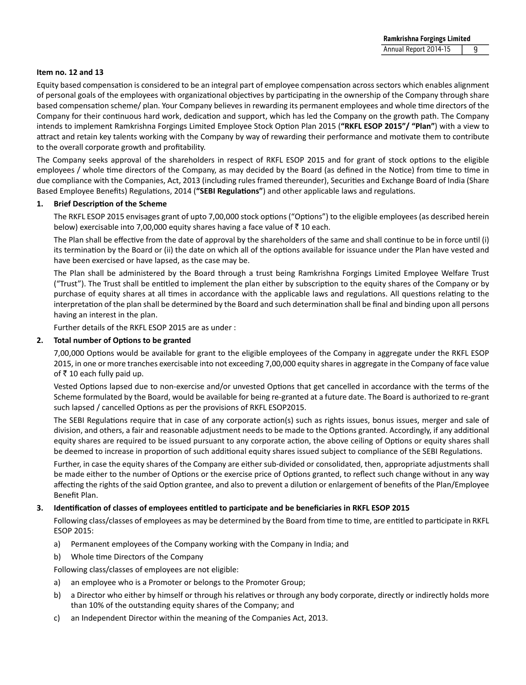#### **Item no. 12 and 13**

Equity based compensation is considered to be an integral part of employee compensation across sectors which enables alignment of personal goals of the employees with organizational objectives by participating in the ownership of the Company through share based compensation scheme/ plan. Your Company believes in rewarding its permanent employees and whole time directors of the Company for their continuous hard work, dedication and support, which has led the Company on the growth path. The Company intends to implement Ramkrishna Forgings Limited Employee Stock Option Plan 2015 ("RKFL ESOP 2015"/ "Plan") with a view to attract and retain key talents working with the Company by way of rewarding their performance and motivate them to contribute to the overall corporate growth and profitability.

The Company seeks approval of the shareholders in respect of RKFL ESOP 2015 and for grant of stock options to the eligible employees / whole time directors of the Company, as may decided by the Board (as defined in the Notice) from time to time in due compliance with the Companies, Act, 2013 (including rules framed thereunder), Securities and Exchange Board of India (Share Based Employee Benefits) Regulations, 2014 ("SEBI Regulations") and other applicable laws and regulations.

#### **1. Brief DescripƟon of the Scheme**

The RKFL ESOP 2015 envisages grant of upto 7,00,000 stock options ("Options") to the eligible employees (as described herein below) exercisable into 7,00,000 equity shares having a face value of  $\bar{z}$  10 each.

The Plan shall be effective from the date of approval by the shareholders of the same and shall continue to be in force until (i) its termination by the Board or (ii) the date on which all of the options available for issuance under the Plan have vested and have been exercised or have lapsed, as the case may be.

 The Plan shall be administered by the Board through a trust being Ramkrishna Forgings Limited Employee Welfare Trust ("Trust"). The Trust shall be entitled to implement the plan either by subscription to the equity shares of the Company or by purchase of equity shares at all times in accordance with the applicable laws and regulations. All questions relating to the interpretation of the plan shall be determined by the Board and such determination shall be final and binding upon all persons having an interest in the plan.

Further details of the RKFL ESOP 2015 are as under :

#### **2. Total number of OpƟons to be granted**

7,00,000 Options would be available for grant to the eligible employees of the Company in aggregate under the RKFL ESOP 2015, in one or more tranches exercisable into not exceeding 7,00,000 equity shares in aggregate in the Company of face value of  $\bar{z}$  10 each fully paid up.

Vested Options lapsed due to non-exercise and/or unvested Options that get cancelled in accordance with the terms of the Scheme formulated by the Board, would be available for being re-granted at a future date. The Board is authorized to re-grant such lapsed / cancelled Options as per the provisions of RKFL ESOP2015.

The SEBI Regulations require that in case of any corporate action(s) such as rights issues, bonus issues, merger and sale of division, and others, a fair and reasonable adjustment needs to be made to the Options granted. Accordingly, if any additional equity shares are required to be issued pursuant to any corporate action, the above ceiling of Options or equity shares shall be deemed to increase in proportion of such additional equity shares issued subject to compliance of the SEBI Regulations.

 Further, in case the equity shares of the Company are either sub-divided or consolidated, then, appropriate adjustments shall be made either to the number of Options or the exercise price of Options granted, to reflect such change without in any way affecting the rights of the said Option grantee, and also to prevent a dilution or enlargement of benefits of the Plan/Employee Benefit Plan.

#### **3. IdenƟficaƟon of classes of employees enƟtled to parƟcipate and be beneficiaries in RKFL ESOP 2015**

Following class/classes of employees as may be determined by the Board from time to time, are entitled to participate in RKFL ESOP 2015:

- a) Permanent employees of the Company working with the Company in India; and
- b) Whole time Directors of the Company
- Following class/classes of employees are not eligible:
- a) an employee who is a Promoter or belongs to the Promoter Group;
- b) a Director who either by himself or through his relatives or through any body corporate, directly or indirectly holds more than 10% of the outstanding equity shares of the Company; and
- c) an Independent Director within the meaning of the Companies Act, 2013.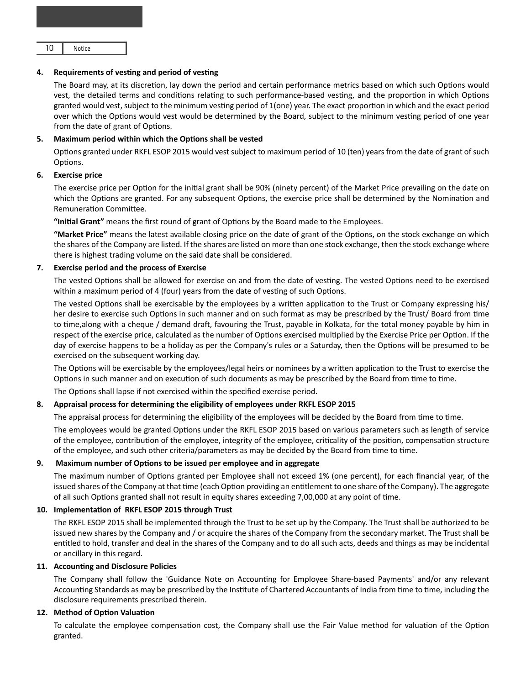| 10 | Notice |
|----|--------|
|----|--------|

#### 4. Requirements of vesting and period of vesting

The Board may, at its discretion, lay down the period and certain performance metrics based on which such Options would vest, the detailed terms and conditions relating to such performance-based vesting, and the proportion in which Options granted would vest, subject to the minimum vesting period of 1(one) year. The exact proportion in which and the exact period over which the Options would vest would be determined by the Board, subject to the minimum vesting period of one year from the date of grant of Options.

#### **5.** Maximum period within which the Options shall be vested

Options granted under RKFL ESOP 2015 would vest subject to maximum period of 10 (ten) years from the date of grant of such Options.

#### **6. Exercise price**

The exercise price per Option for the initial grant shall be 90% (ninety percent) of the Market Price prevailing on the date on which the Options are granted. For any subsequent Options, the exercise price shall be determined by the Nomination and Remuneration Committee.

"Initial Grant" means the first round of grant of Options by the Board made to the Employees.

"Market Price" means the latest available closing price on the date of grant of the Options, on the stock exchange on which the shares of the Company are listed. If the shares are listed on more than one stock exchange, then the stock exchange where there is highest trading volume on the said date shall be considered.

#### **7. Exercise period and the process of Exercise**

The vested Options shall be allowed for exercise on and from the date of vesting. The vested Options need to be exercised within a maximum period of 4 (four) years from the date of vesting of such Options.

The vested Options shall be exercisable by the employees by a written application to the Trust or Company expressing his/ her desire to exercise such Options in such manner and on such format as may be prescribed by the Trust/ Board from time to time,along with a cheque / demand draft, favouring the Trust, payable in Kolkata, for the total money payable by him in respect of the exercise price, calculated as the number of Options exercised multiplied by the Exercise Price per Option. If the day of exercise happens to be a holiday as per the Company's rules or a Saturday, then the Options will be presumed to be exercised on the subsequent working day.

The Options will be exercisable by the employees/legal heirs or nominees by a written application to the Trust to exercise the Options in such manner and on execution of such documents as may be prescribed by the Board from time to time.

The Options shall lapse if not exercised within the specified exercise period.

#### **8. Appraisal process for determining the eligibility of employees under RKFL ESOP 2015**

The appraisal process for determining the eligibility of the employees will be decided by the Board from time to time.

The employees would be granted Options under the RKFL ESOP 2015 based on various parameters such as length of service of the employee, contribution of the employee, integrity of the employee, criticality of the position, compensation structure of the employee, and such other criteria/parameters as may be decided by the Board from time to time.

#### **9.** Maximum number of Options to be issued per employee and in aggregate

The maximum number of Options granted per Employee shall not exceed 1% (one percent), for each financial year, of the issued shares of the Company at that time (each Option providing an entitlement to one share of the Company). The aggregate of all such Options granted shall not result in equity shares exceeding 7,00,000 at any point of time.

#### 10. Implementation of RKFL ESOP 2015 through Trust

 The RKFL ESOP 2015 shall be implemented through the Trust to be set up by the Company. The Trust shall be authorized to be issued new shares by the Company and / or acquire the shares of the Company from the secondary market. The Trust shall be entitled to hold, transfer and deal in the shares of the Company and to do all such acts, deeds and things as may be incidental or ancillary in this regard.

#### 11. Accounting and Disclosure Policies

The Company shall follow the 'Guidance Note on Accounting for Employee Share-based Payments' and/or any relevant Accounting Standards as may be prescribed by the Institute of Chartered Accountants of India from time to time, including the disclosure requirements prescribed therein.

#### 12. Method of Option Valuation

To calculate the employee compensation cost, the Company shall use the Fair Value method for valuation of the Option granted.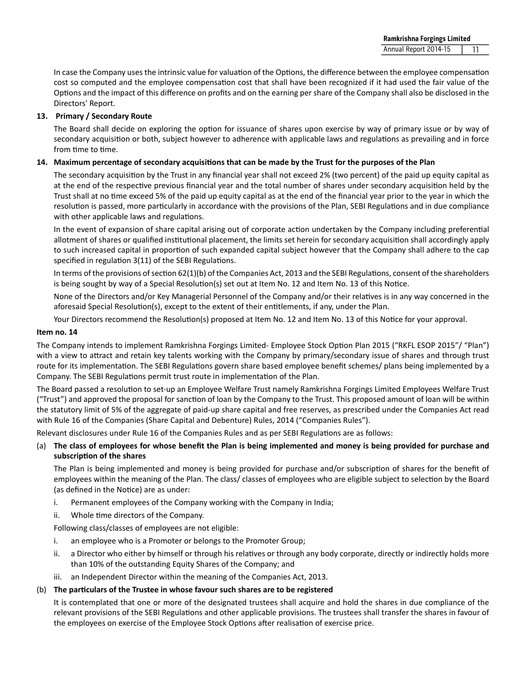In case the Company uses the intrinsic value for valuation of the Options, the difference between the employee compensation cost so computed and the employee compensation cost that shall have been recognized if it had used the fair value of the Options and the impact of this difference on profits and on the earning per share of the Company shall also be disclosed in the Directors' Report.

#### **13. Primary / Secondary Route**

The Board shall decide on exploring the option for issuance of shares upon exercise by way of primary issue or by way of secondary acquisition or both, subject however to adherence with applicable laws and regulations as prevailing and in force from time to time.

## 14. Maximum percentage of secondary acquisitions that can be made by the Trust for the purposes of the Plan

The secondary acquisition by the Trust in any financial year shall not exceed 2% (two percent) of the paid up equity capital as at the end of the respective previous financial year and the total number of shares under secondary acquisition held by the Trust shall at no time exceed 5% of the paid up equity capital as at the end of the financial year prior to the year in which the resolution is passed, more particularly in accordance with the provisions of the Plan, SEBI Regulations and in due compliance with other applicable laws and regulations.

In the event of expansion of share capital arising out of corporate action undertaken by the Company including preferential allotment of shares or qualified institutional placement, the limits set herein for secondary acquisition shall accordingly apply to such increased capital in proportion of such expanded capital subject however that the Company shall adhere to the cap specified in regulation 3(11) of the SEBI Regulations.

In terms of the provisions of section  $62(1)(b)$  of the Companies Act, 2013 and the SEBI Regulations, consent of the shareholders is being sought by way of a Special Resolution(s) set out at Item No. 12 and Item No. 13 of this Notice.

None of the Directors and/or Key Managerial Personnel of the Company and/or their relatives is in any way concerned in the aforesaid Special Resolution(s), except to the extent of their entitlements, if any, under the Plan.

Your Directors recommend the Resolution(s) proposed at Item No. 12 and Item No. 13 of this Notice for your approval.

#### **Item no. 14**

The Company intends to implement Ramkrishna Forgings Limited- Employee Stock Option Plan 2015 ("RKFL ESOP 2015"/ "Plan") with a view to attract and retain key talents working with the Company by primary/secondary issue of shares and through trust route for its implementation. The SEBI Regulations govern share based employee benefit schemes/ plans being implemented by a Company. The SEBI Regulations permit trust route in implementation of the Plan.

The Board passed a resolution to set-up an Employee Welfare Trust namely Ramkrishna Forgings Limited Employees Welfare Trust ("Trust") and approved the proposal for sanction of loan by the Company to the Trust. This proposed amount of loan will be within the statutory limit of 5% of the aggregate of paid-up share capital and free reserves, as prescribed under the Companies Act read with Rule 16 of the Companies (Share Capital and Debenture) Rules, 2014 ("Companies Rules").

Relevant disclosures under Rule 16 of the Companies Rules and as per SEBI Regulations are as follows:

(a) **The class of employees for whose benefit the Plan is being implemented and money is being provided for purchase and subscripƟon of the shares** 

The Plan is being implemented and money is being provided for purchase and/or subscription of shares for the benefit of employees within the meaning of the Plan. The class/ classes of employees who are eligible subject to selection by the Board (as defined in the Notice) are as under:

- i. Permanent employees of the Company working with the Company in India;
- ii. Whole time directors of the Company.

Following class/classes of employees are not eligible:

- i. an employee who is a Promoter or belongs to the Promoter Group;
- ii. a Director who either by himself or through his relatives or through any body corporate, directly or indirectly holds more than 10% of the outstanding Equity Shares of the Company; and
- iii. an Independent Director within the meaning of the Companies Act, 2013.

#### (b) **The parƟculars of the Trustee in whose favour such shares are to be registered**

 It is contemplated that one or more of the designated trustees shall acquire and hold the shares in due compliance of the relevant provisions of the SEBI Regulations and other applicable provisions. The trustees shall transfer the shares in favour of the employees on exercise of the Employee Stock Options after realisation of exercise price.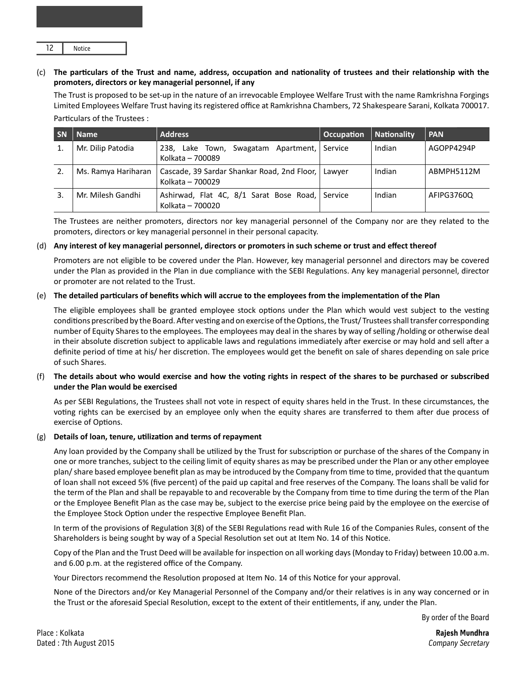|  | Notice |
|--|--------|
|--|--------|

#### (c) **The parƟculars of the Trust and name, address, occupaƟon and naƟonality of trustees and their relaƟonship with the promoters, directors or key managerial personnel, if any**

 The Trust is proposed to be set-up in the nature of an irrevocable Employee Welfare Trust with the name Ramkrishna Forgings Limited Employees Welfare Trust having its registered office at Ramkrishna Chambers, 72 Shakespeare Sarani, Kolkata 700017. Particulars of the Trustees:

| <b>SN</b> | <b>Name</b>         | <b>Address</b>                                                    | <b>Occupation</b> | <b>Nationality</b> | <b>PAN</b> |
|-----------|---------------------|-------------------------------------------------------------------|-------------------|--------------------|------------|
|           | Mr. Dilip Patodia   | 238, Lake Town,<br>Swagatam Apartment,<br>Kolkata - 700089        | Service           | Indian             | AGOPP4294P |
|           | Ms. Ramya Hariharan | Cascade, 39 Sardar Shankar Road, 2nd Floor,  <br>Kolkata - 700029 | Lawver            | Indian             | ABMPH5112M |
|           | Mr. Milesh Gandhi   | Ashirwad, Flat 4C, 8/1 Sarat Bose Road,<br>Kolkata - 700020       | Service           | Indian             | AFIPG3760Q |

The Trustees are neither promoters, directors nor key managerial personnel of the Company nor are they related to the promoters, directors or key managerial personnel in their personal capacity.

#### (d) **Any interest of key managerial personnel, directors or promoters in such scheme or trust and effect thereof**

 Promoters are not eligible to be covered under the Plan. However, key managerial personnel and directors may be covered under the Plan as provided in the Plan in due compliance with the SEBI Regulations. Any key managerial personnel, director or promoter are not related to the Trust.

#### (e) **The detailed parƟculars of benefits which will accrue to the employees from the implementaƟon of the Plan**

The eligible employees shall be granted employee stock options under the Plan which would vest subject to the vesting conditions prescribed by the Board. After vesting and on exercise of the Options, the Trust/ Trustees shall transfer corresponding number of Equity Shares to the employees. The employees may deal in the shares by way of selling /holding or otherwise deal in their absolute discretion subject to applicable laws and regulations immediately after exercise or may hold and sell after a definite period of time at his/ her discretion. The employees would get the benefit on sale of shares depending on sale price of such Shares.

#### (f) **The details about who would exercise and how the voƟng rights in respect of the shares to be purchased or subscribed under the Plan would be exercised**

As per SEBI Regulations, the Trustees shall not vote in respect of equity shares held in the Trust. In these circumstances, the voting rights can be exercised by an employee only when the equity shares are transferred to them after due process of exercise of Options.

#### (g) **Details of loan, tenure, uƟlizaƟon and terms of repayment**

Any loan provided by the Company shall be utilized by the Trust for subscription or purchase of the shares of the Company in one or more tranches, subject to the ceiling limit of equity shares as may be prescribed under the Plan or any other employee plan/ share based employee benefit plan as may be introduced by the Company from time to time, provided that the quantum of loan shall not exceed 5% (five percent) of the paid up capital and free reserves of the Company. The loans shall be valid for the term of the Plan and shall be repayable to and recoverable by the Company from time to time during the term of the Plan or the Employee Benefit Plan as the case may be, subject to the exercise price being paid by the employee on the exercise of the Employee Stock Option under the respective Employee Benefit Plan.

In term of the provisions of Regulation 3(8) of the SEBI Regulations read with Rule 16 of the Companies Rules, consent of the Shareholders is being sought by way of a Special Resolution set out at Item No. 14 of this Notice.

Copy of the Plan and the Trust Deed will be available for inspection on all working days (Monday to Friday) between 10.00 a.m. and 6.00 p.m. at the registered office of the Company.

Your Directors recommend the Resolution proposed at Item No. 14 of this Notice for your approval.

None of the Directors and/or Key Managerial Personnel of the Company and/or their relatives is in any way concerned or in the Trust or the aforesaid Special Resolution, except to the extent of their entitlements, if any, under the Plan.

By order of the Board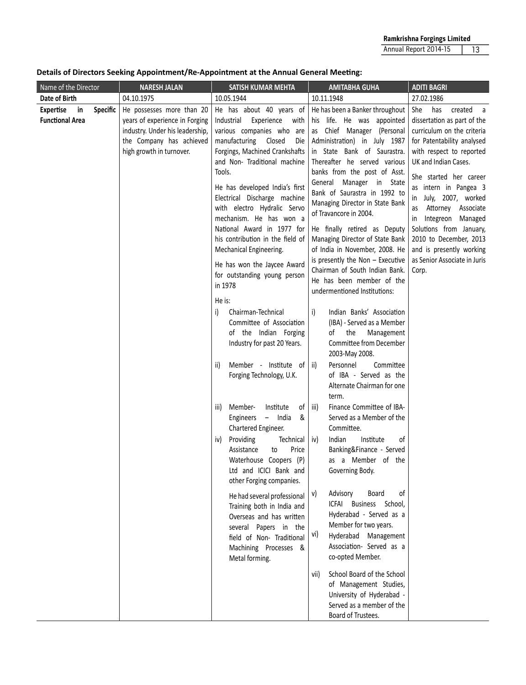**Details of Directors Seeking Appointment/Re-Appointment at the Annual General Meeting:** 

| Name of the Director                             |                 | <b>NARESH JALAN</b>                                                                                                                                    |        | SATISH KUMAR MEHTA                                                                                                                                                                                                                                                                                                                                                                                                                                   |           | <b>AMITABHA GUHA</b>                                                                                                                                                                                                                                                                                                                                                                                                                                                                                                             | <b>ADITI BAGRI</b>                                                                                                                                                                                                                                                                                                                                                                                                               |  |  |  |  |  |  |  |  |  |
|--------------------------------------------------|-----------------|--------------------------------------------------------------------------------------------------------------------------------------------------------|--------|------------------------------------------------------------------------------------------------------------------------------------------------------------------------------------------------------------------------------------------------------------------------------------------------------------------------------------------------------------------------------------------------------------------------------------------------------|-----------|----------------------------------------------------------------------------------------------------------------------------------------------------------------------------------------------------------------------------------------------------------------------------------------------------------------------------------------------------------------------------------------------------------------------------------------------------------------------------------------------------------------------------------|----------------------------------------------------------------------------------------------------------------------------------------------------------------------------------------------------------------------------------------------------------------------------------------------------------------------------------------------------------------------------------------------------------------------------------|--|--|--|--|--|--|--|--|--|
| Date of Birth                                    |                 | 04.10.1975                                                                                                                                             |        | 10.05.1944                                                                                                                                                                                                                                                                                                                                                                                                                                           |           | 10.11.1948                                                                                                                                                                                                                                                                                                                                                                                                                                                                                                                       | 27.02.1986                                                                                                                                                                                                                                                                                                                                                                                                                       |  |  |  |  |  |  |  |  |  |
| <b>Expertise</b><br>in<br><b>Functional Area</b> | <b>Specific</b> | He possesses more than 20<br>years of experience in Forging<br>industry. Under his leadership,<br>the Company has achieved<br>high growth in turnover. | Tools. | He has about 40 years of<br>Industrial<br>Experience<br>with<br>various companies who are<br>manufacturing<br>Closed<br>Die<br>Forgings, Machined Crankshafts<br>and Non-Traditional machine<br>He has developed India's first<br>Electrical Discharge machine<br>with electro Hydralic Servo<br>mechanism. He has won a<br>National Award in 1977 for<br>his contribution in the field of<br>Mechanical Engineering.<br>He has won the Jaycee Award |           | He has been a Banker throughout<br>his life. He was appointed<br>as Chief Manager (Personal<br>Administration) in July 1987<br>in State Bank of Saurastra.<br>Thereafter he served various<br>banks from the post of Asst.<br>General Manager in State<br>Bank of Saurastra in 1992 to<br>Managing Director in State Bank<br>of Travancore in 2004.<br>He finally retired as Deputy<br>Managing Director of State Bank<br>of India in November, 2008. He<br>is presently the Non $-$ Executive<br>Chairman of South Indian Bank. | created<br>She<br>has<br>a<br>dissertation as part of the<br>curriculum on the criteria<br>for Patentability analysed<br>with respect to reported<br>UK and Indian Cases.<br>She started her career<br>as intern in Pangea 3<br>July, 2007, worked<br>in<br>Attorney Associate<br>as<br>Integreon Managed<br>in<br>Solutions from January,<br>2010 to December, 2013<br>and is presently working<br>as Senior Associate in Juris |  |  |  |  |  |  |  |  |  |
|                                                  |                 |                                                                                                                                                        | Corp.  |                                                                                                                                                                                                                                                                                                                                                                                                                                                      |           |                                                                                                                                                                                                                                                                                                                                                                                                                                                                                                                                  |                                                                                                                                                                                                                                                                                                                                                                                                                                  |  |  |  |  |  |  |  |  |  |
|                                                  |                 |                                                                                                                                                        | i)     | Chairman-Technical<br>Committee of Association<br>of the Indian Forging<br>Industry for past 20 Years.                                                                                                                                                                                                                                                                                                                                               | i)        | Indian Banks' Association<br>(IBA) - Served as a Member<br>the<br>Management<br>of<br>Committee from December<br>2003-May 2008.                                                                                                                                                                                                                                                                                                                                                                                                  |                                                                                                                                                                                                                                                                                                                                                                                                                                  |  |  |  |  |  |  |  |  |  |
|                                                  |                 |                                                                                                                                                        | ii)    | Member - Institute of $\vert$ ii)<br>Forging Technology, U.K.                                                                                                                                                                                                                                                                                                                                                                                        |           | Committee<br>Personnel<br>of IBA - Served as the<br>Alternate Chairman for one<br>term.                                                                                                                                                                                                                                                                                                                                                                                                                                          |                                                                                                                                                                                                                                                                                                                                                                                                                                  |  |  |  |  |  |  |  |  |  |
|                                                  |                 |                                                                                                                                                        | iii)   | Member-<br>Institute<br>οf<br>$-$ India<br>&<br>Engineers<br>Chartered Engineer.                                                                                                                                                                                                                                                                                                                                                                     | iii)      | Finance Committee of IBA-<br>Served as a Member of the<br>Committee.                                                                                                                                                                                                                                                                                                                                                                                                                                                             |                                                                                                                                                                                                                                                                                                                                                                                                                                  |  |  |  |  |  |  |  |  |  |
|                                                  |                 |                                                                                                                                                        | iv)    | Providing<br>Technical<br>Price<br>Assistance<br>to<br>Waterhouse Coopers (P)<br>Ltd and ICICI Bank and<br>other Forging companies.                                                                                                                                                                                                                                                                                                                  | iv)       | Indian<br>Institute<br>οf<br>Banking&Finance - Served<br>as a Member of the<br>Governing Body.                                                                                                                                                                                                                                                                                                                                                                                                                                   |                                                                                                                                                                                                                                                                                                                                                                                                                                  |  |  |  |  |  |  |  |  |  |
|                                                  |                 |                                                                                                                                                        |        | He had several professional<br>Training both in India and<br>Overseas and has written<br>several Papers in the<br>field of Non- Traditional<br>Machining Processes &<br>Metal forming.                                                                                                                                                                                                                                                               | V)<br>vi) | <sub>of</sub><br>Advisory<br>Board<br>ICFAI Business School,<br>Hyderabad - Served as a<br>Member for two years.<br>Hyderabad Management<br>Association- Served as a<br>co-opted Member.                                                                                                                                                                                                                                                                                                                                         |                                                                                                                                                                                                                                                                                                                                                                                                                                  |  |  |  |  |  |  |  |  |  |
|                                                  |                 |                                                                                                                                                        |        |                                                                                                                                                                                                                                                                                                                                                                                                                                                      | vii)      | School Board of the School<br>of Management Studies,<br>University of Hyderabad -<br>Served as a member of the<br>Board of Trustees.                                                                                                                                                                                                                                                                                                                                                                                             |                                                                                                                                                                                                                                                                                                                                                                                                                                  |  |  |  |  |  |  |  |  |  |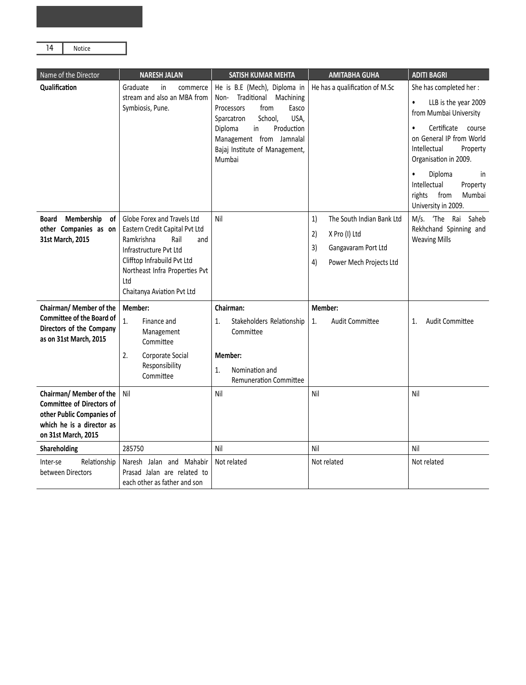| Notice |  |
|--------|--|
|        |  |

| Name of the Director                                                                                                                         | <b>NARESH JALAN</b>                                                                                                                                                                                                        | SATISH KUMAR MEHTA                                                                                                                                                                                                                | <b>AMITABHA GUHA</b>                                                                                                 | <b>ADITI BAGRI</b>                                                                                                                                                                                                                                                                                        |
|----------------------------------------------------------------------------------------------------------------------------------------------|----------------------------------------------------------------------------------------------------------------------------------------------------------------------------------------------------------------------------|-----------------------------------------------------------------------------------------------------------------------------------------------------------------------------------------------------------------------------------|----------------------------------------------------------------------------------------------------------------------|-----------------------------------------------------------------------------------------------------------------------------------------------------------------------------------------------------------------------------------------------------------------------------------------------------------|
| Qualification                                                                                                                                | Graduate<br>in<br>commerce<br>stream and also an MBA from<br>Symbiosis, Pune.                                                                                                                                              | He is B.E (Mech), Diploma in<br>Non- Traditional Machining<br>Processors<br>from<br>Easco<br>USA,<br>School,<br>Sparcatron<br>Diploma<br>in<br>Production<br>Management from Jamnalal<br>Bajaj Institute of Management,<br>Mumbai | He has a qualification of M.Sc                                                                                       | She has completed her:<br>LLB is the year 2009<br>$\bullet$<br>from Mumbai University<br>Certificate course<br>$\bullet$<br>on General IP from World<br>Intellectual<br>Property<br>Organisation in 2009.<br>Diploma<br>in<br>Intellectual<br>Property<br>rights<br>from<br>Mumbai<br>University in 2009. |
| <b>Board</b><br>Membership<br>of<br>other Companies as on<br>31st March, 2015                                                                | Globe Forex and Travels Ltd<br>Eastern Credit Capital Pvt Ltd<br>Ramkrishna<br>Rail<br>and<br>Infrastructure Pvt Ltd<br>Clifftop Infrabuild Pvt Ltd<br>Northeast Infra Properties Pvt<br>Ltd<br>Chaitanya Aviation Pvt Ltd | Nil                                                                                                                                                                                                                               | 1)<br>The South Indian Bank Ltd<br>2)<br>X Pro (I) Ltd<br>3)<br>Gangavaram Port Ltd<br>4)<br>Power Mech Projects Ltd | M/s. 'The Rai Saheb<br>Rekhchand Spinning and<br><b>Weaving Mills</b>                                                                                                                                                                                                                                     |
| Chairman/ Member of the<br><b>Committee of the Board of</b><br>Directors of the Company<br>as on 31st March, 2015                            | Member:<br>$\overline{1}$ .<br>Finance and<br>Management<br>Committee<br>2.<br>Corporate Social<br>Responsibility<br>Committee                                                                                             | Chairman:<br>1.<br>Stakeholders Relationship<br>Committee<br>Member:<br>Nomination and<br>1.<br><b>Remuneration Committee</b>                                                                                                     | Member:<br>1.<br><b>Audit Committee</b>                                                                              | <b>Audit Committee</b><br>1.                                                                                                                                                                                                                                                                              |
| Chairman/ Member of the<br><b>Committee of Directors of</b><br>other Public Companies of<br>which he is a director as<br>on 31st March, 2015 | Nil                                                                                                                                                                                                                        | Nil                                                                                                                                                                                                                               | Nil                                                                                                                  | Nil                                                                                                                                                                                                                                                                                                       |
| Shareholding                                                                                                                                 | 285750                                                                                                                                                                                                                     | Nil                                                                                                                                                                                                                               | Nil                                                                                                                  | Nil                                                                                                                                                                                                                                                                                                       |
| Relationship<br>Inter-se<br>between Directors                                                                                                | Naresh Jalan and Mahabir<br>Prasad Jalan are related to<br>each other as father and son                                                                                                                                    | Not related                                                                                                                                                                                                                       | Not related                                                                                                          | Not related                                                                                                                                                                                                                                                                                               |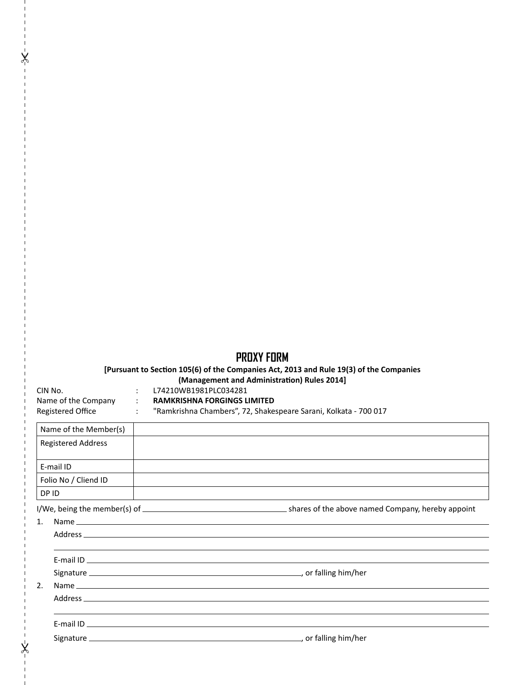# **PROXY FORM**

## **[Pursuant to SecƟon 105(6) of the Companies Act, 2013 and Rule 19(3) of the Companies**

**(Management and AdministraƟon) Rules 2014]**

| LIN NO.          |
|------------------|
| Name of the Cor  |
| Registered Offic |

 $\pmb{\times}$ 

 $\mathsf{X}$ 

## CIN No. : L74210WB1981PLC034281

mpany : **RAMKRISHNA FORGINGS LIMITED** 

| <b>INGITIC OF LITE COMPL</b> |  |  |
|------------------------------|--|--|
| <b>Registered Office</b>     |  |  |

# : "Ramkrishna Chambers", 72, Shakespeare Sarani, Kolkata - 700 017

| Name of the Member(s)     |  |
|---------------------------|--|
| <b>Registered Address</b> |  |
|                           |  |
| E-mail ID                 |  |
| Folio No / Cliend ID      |  |
| DP ID                     |  |
|                           |  |
| 1.                        |  |
|                           |  |
|                           |  |
|                           |  |
|                           |  |
| 2.                        |  |
|                           |  |
|                           |  |
|                           |  |
|                           |  |
|                           |  |